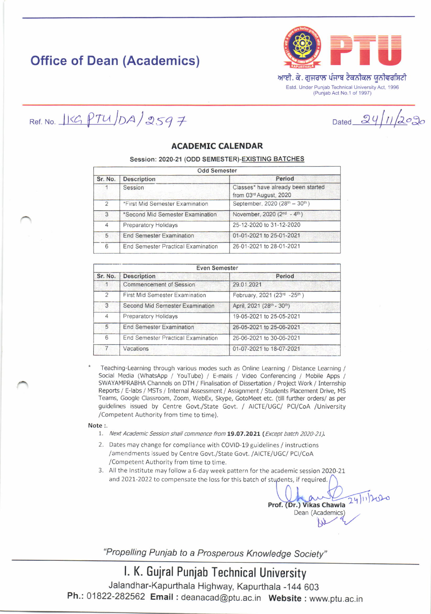# Office of Dean (Academics)



**Dated** 

 $24/11/202$ 

Ref. No.  $I K G PTU/DA/2597$ 

ACADEMIC CALENDAR

Session: 2020-21 (ODD SEMESTER)-EXISTING BATCHES

| <b>Odd Semester</b> |                                    |                                                              |  |  |
|---------------------|------------------------------------|--------------------------------------------------------------|--|--|
| Sr. No.             | <b>Description</b>                 | Period                                                       |  |  |
|                     | Session                            | Classes* have already been started<br>from 03rd August, 2020 |  |  |
| $\mathcal{P}$       | *First Mid Semester Examination    | September, 2020 (28th - 30th)                                |  |  |
| 3                   | *Second Mid Semester Examination   | November, 2020 (2nd - 4th)                                   |  |  |
| $\overline{4}$      | <b>Preparatory Holidays</b>        | 25-12-2020 to 31-12-2020                                     |  |  |
| 5                   | <b>End Semester Examination</b>    | 01-01-2021 to 25-01-2021                                     |  |  |
| 6                   | End Semester Practical Examination | 26-01-2021 to 28-01-2021                                     |  |  |

| <b>Even Semester</b> |                                       |                             |  |  |
|----------------------|---------------------------------------|-----------------------------|--|--|
| Sr. No.              | <b>Description</b>                    | Period                      |  |  |
|                      | <b>Commencement of Session</b>        | 29.01.2021                  |  |  |
| $\mathcal{D}$        | <b>First Mid Semester Examination</b> | February, 2021 (23rd -25th) |  |  |
| 3                    | Second Mid Semester Examination       | April, 2021 (28th - 30th)   |  |  |
| $\overline{4}$       | Preparatory Holidays                  | 19-05-2021 to 25-05-2021    |  |  |
| 5                    | <b>End Semester Examination</b>       | 26-05-2021 to 25-06-2021    |  |  |
| 6                    | End Semester Practical Examination    | 26-06-2021 to 30-06-2021    |  |  |
|                      | Vacations                             | 01-07-2021 to 18-07-2021    |  |  |

Teaching-Learning through various modes such as Online Learning / Distance Learning / Social Media (WhatsApp / YouTube) / E-mails / Video Conferencing / Mobile Apps / SWAYAMPRABHA Channels on DTH / Finalisation of Dissertation / Project Work / Internship Reports / E-labs / MSTs / Internal Assessment / Assignment / Students Placement Drive, MS Teams, Google Classroom, Zoom, WebEx, Skype, GotoMeet etc. (till further orders/ as per guidelines issued by Centre Govt./State Govt. / AICTE/UGC/ PCI/CoA /University /Competent Authority from time to time).

#### Note :.

- 1. Next Academic Session shall commence from 19.07.2021 (Except batch 2020-21).
- 2. Dates may change for compliance with COVID-19 guidelines / instructions /amendments issued by Centre Govt./State Govt. /AICTE/UGC/ PCI/CoA /Competent Authoritv from time to time,
- 3. All the Institute may follow a 6 day week pattern for the academic session 2020-21 and 2021-2022 to compensate the loss for this batch of students, if required.

 $24112020$ Prof. (Dr.) Vikas Chawla Dean (Academics)

"Propelling Punjab to a Prosperous Knowledge Society"

## l. K. Gujral Punjab Technical University

Jalandhar-Kapurthala Highway, Kapurthala -144 603 Ph.: 01822-282562 Email : deanacad@ptu.ac.in Website : www.ptu.ac.in